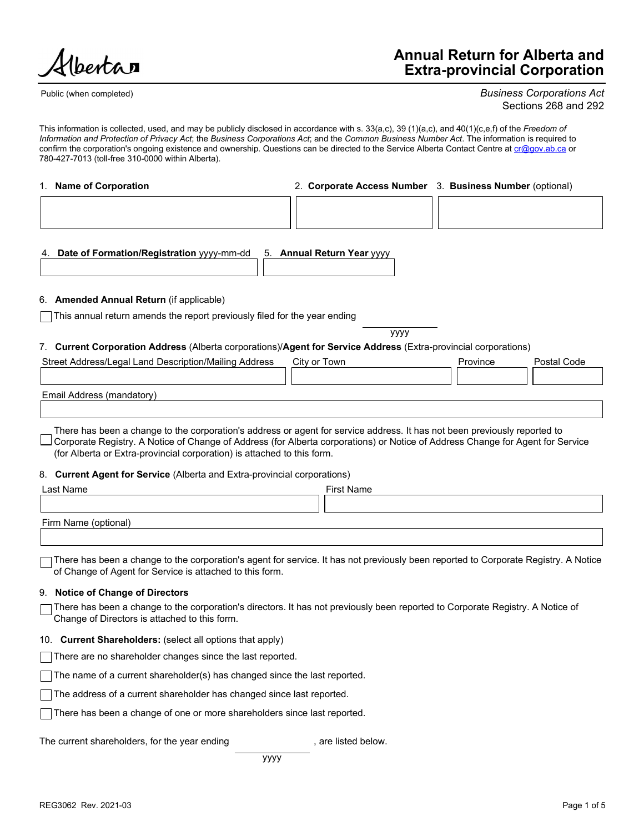bertar

Public (when completed)

## Annual Return for Alberta and Extra-provincial Corporation

Business Corporations Act Sections 268 and 292

This information is collected, used, and may be publicly disclosed in accordance with s. 33(a,c), 39 (1)(a,c), and 40(1)(c,e,f) of the Freedom of Information and Protection of Privacy Act; the Business Corporations Act; and the Common Business Number Act. The information is required to confirm the corporation's ongoing existence and ownership. Questions can be directed to the Service Alberta Contact Centre at **cr@gov.ab.ca** or 780-427-7013 (toll-free 310-0000 within Alberta).

| 1. Name of Corporation                                                                                          | 2. Corporate Access Number 3. Business Number (optional) |          |             |  |  |
|-----------------------------------------------------------------------------------------------------------------|----------------------------------------------------------|----------|-------------|--|--|
|                                                                                                                 |                                                          |          |             |  |  |
| 4. Date of Formation/Registration yyyy-mm-dd<br>5.                                                              | <b>Annual Return Year yyyy</b>                           |          |             |  |  |
| 6. Amended Annual Return (if applicable)                                                                        |                                                          |          |             |  |  |
| $\Box$ This annual return amends the report previously filed for the year ending                                |                                                          |          |             |  |  |
|                                                                                                                 | уууу                                                     |          |             |  |  |
| 7. Current Corporation Address (Alberta corporations)/Agent for Service Address (Extra-provincial corporations) |                                                          |          |             |  |  |
| Street Address/Legal Land Description/Mailing Address                                                           | City or Town                                             | Province | Postal Code |  |  |
|                                                                                                                 |                                                          |          |             |  |  |
| Email Address (mandatory)                                                                                       |                                                          |          |             |  |  |
|                                                                                                                 |                                                          |          |             |  |  |

There has been a change to the corporation's address or agent for service address. It has not been previously reported to Corporate Registry. A Notice of Change of Address (for Alberta corporations) or Notice of Address Change for Agent for Service (for Alberta or Extra-provincial corporation) is attached to this form.

### 8. Current Agent for Service (Alberta and Extra-provincial corporations)

| 8. Current Agent for Service (Alberta and Extra-provincial corporations)                                                                                                                        |
|-------------------------------------------------------------------------------------------------------------------------------------------------------------------------------------------------|
| Last Name<br><b>First Name</b>                                                                                                                                                                  |
| Firm Name (optional)                                                                                                                                                                            |
| There has been a change to the corporation's agent for service. It has not previously been reported to Corporate Registry. A Notice<br>of Change of Agent for Service is attached to this form. |
| 9. Notice of Change of Directors                                                                                                                                                                |
| There has been a change to the corporation's directors. It has not previously been reported to Corporate Registry. A Notice of<br>Change of Directors is attached to this form.                 |
| 10. Current Shareholders: (select all options that apply)                                                                                                                                       |
| There are no shareholder changes since the last reported.                                                                                                                                       |
| The name of a current shareholder(s) has changed since the last reported.                                                                                                                       |
| The address of a current shareholder has changed since last reported.                                                                                                                           |
| There has been a change of one or more shareholders since last reported.                                                                                                                        |
| The current shareholders, for the year ending<br>. are listed below.                                                                                                                            |
| уууу                                                                                                                                                                                            |
| REG3062 Rev. 2021-03<br>Page 1 of 5                                                                                                                                                             |

There has been a change to the corporation's agent for service. It has not previously been reported to Corporate Registry. A Notice of Change of Derictors<br>
S. Notice of Change of Directors<br>
I. Three has been a change to □ There has been a change to the corporation's agent for service. It has not previously been reported to Corporate Registry. A Notice of Change of Agent for Service is attached to this form.

### 9. Notice of Change of Directors

### 10. Current Shareholders: (select all options that apply)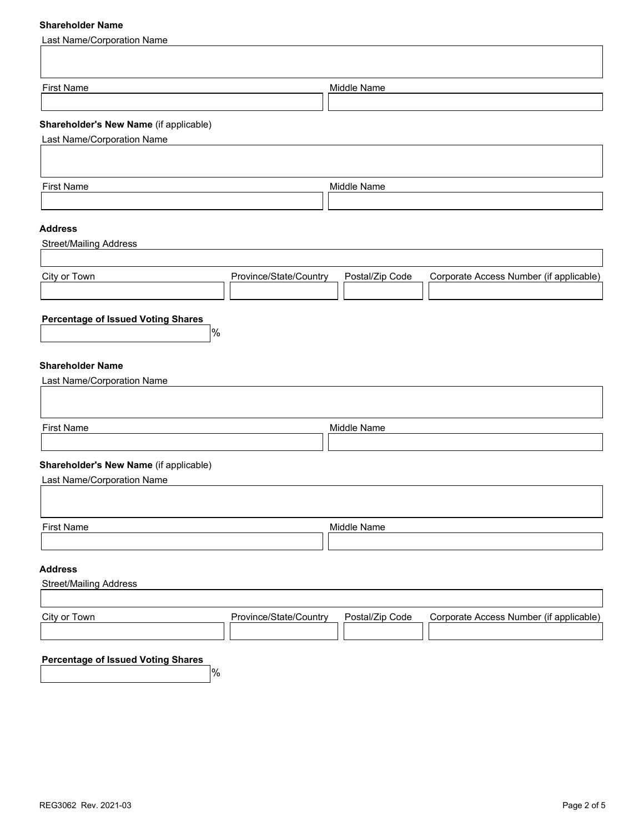## Shareholder Name

| <b>Stidlenoluer Name</b>                                     |                        |                 |                                         |
|--------------------------------------------------------------|------------------------|-----------------|-----------------------------------------|
| <b>Last Name/Corporation Name</b>                            |                        |                 |                                         |
|                                                              |                        |                 |                                         |
| <b>First Name</b>                                            |                        | Middle Name     |                                         |
| Shareholder's New Name (if applicable)                       |                        |                 |                                         |
| Last Name/Corporation Name                                   |                        |                 |                                         |
|                                                              |                        |                 |                                         |
| <b>First Name</b>                                            |                        | Middle Name     |                                         |
|                                                              |                        |                 |                                         |
| <b>Address</b><br><b>Street/Mailing Address</b>              |                        |                 |                                         |
|                                                              |                        |                 |                                         |
| City or Town                                                 | Province/State/Country | Postal/Zip Code | Corporate Access Number (if applicable) |
|                                                              |                        |                 |                                         |
| <b>Percentage of Issued Voting Shares</b><br> %              |                        |                 |                                         |
|                                                              |                        |                 |                                         |
| <b>Shareholder Name</b><br><b>Last Name/Corporation Name</b> |                        |                 |                                         |
|                                                              |                        |                 |                                         |
| <b>First Name</b>                                            |                        | Middle Name     |                                         |
|                                                              |                        |                 |                                         |
| Shareholder's New Name (if applicable)                       |                        |                 |                                         |
| Last Name/Corporation Name                                   |                        |                 |                                         |
|                                                              |                        |                 |                                         |
| First Name                                                   |                        | Middle Name     |                                         |
|                                                              |                        |                 |                                         |
| <b>Address</b><br><b>Street/Mailing Address</b>              |                        |                 |                                         |
|                                                              |                        |                 |                                         |
| City or Town                                                 | Province/State/Country | Postal/Zip Code | Corporate Access Number (if applicable) |
|                                                              |                        |                 |                                         |
| <b>Percentage of Issued Voting Shares</b><br>$\frac{9}{6}$   |                        |                 |                                         |
|                                                              |                        |                 |                                         |
|                                                              |                        |                 |                                         |
|                                                              |                        |                 |                                         |
|                                                              |                        |                 |                                         |
|                                                              |                        |                 |                                         |
| REG3062 Rev. 2021-03                                         |                        |                 | Page 2 of 5                             |
|                                                              |                        |                 |                                         |
|                                                              |                        |                 |                                         |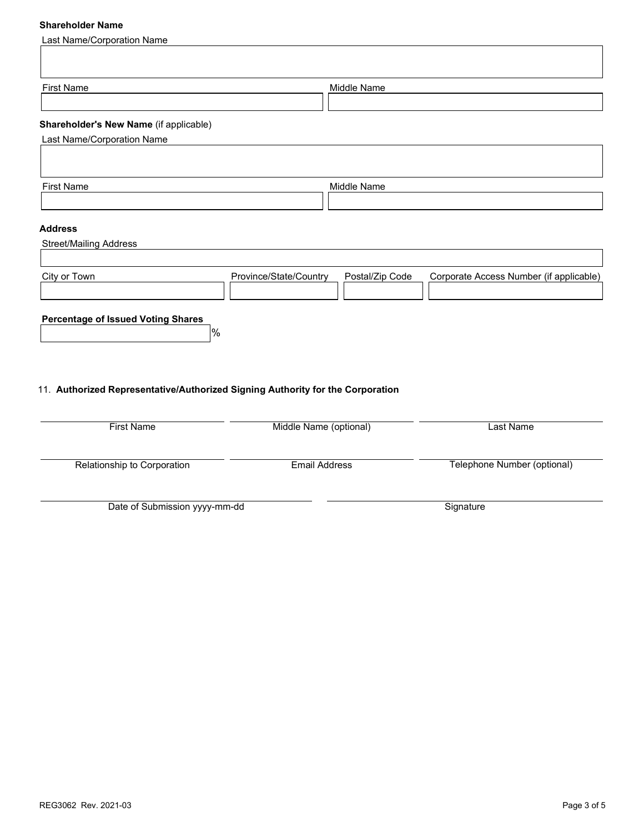# Shareholder Name

| <b>Shareholder Name</b>                                                        |                        |                 |                                         |
|--------------------------------------------------------------------------------|------------------------|-----------------|-----------------------------------------|
| <b>Last Name/Corporation Name</b>                                              |                        |                 |                                         |
|                                                                                |                        |                 |                                         |
|                                                                                |                        |                 |                                         |
| <b>First Name</b>                                                              |                        | Middle Name     |                                         |
|                                                                                |                        |                 |                                         |
| Shareholder's New Name (if applicable)                                         |                        |                 |                                         |
| <b>Last Name/Corporation Name</b>                                              |                        |                 |                                         |
|                                                                                |                        |                 |                                         |
| <b>First Name</b>                                                              |                        | Middle Name     |                                         |
|                                                                                |                        |                 |                                         |
|                                                                                |                        |                 |                                         |
| <b>Address</b>                                                                 |                        |                 |                                         |
| <b>Street/Mailing Address</b>                                                  |                        |                 |                                         |
|                                                                                |                        |                 |                                         |
| City or Town                                                                   | Province/State/Country | Postal/Zip Code | Corporate Access Number (if applicable) |
|                                                                                |                        |                 |                                         |
| <b>Percentage of Issued Voting Shares</b>                                      |                        |                 |                                         |
|                                                                                | %                      |                 |                                         |
|                                                                                |                        |                 |                                         |
|                                                                                |                        |                 |                                         |
| 11. Authorized Representative/Authorized Signing Authority for the Corporation |                        |                 |                                         |
|                                                                                |                        |                 |                                         |
|                                                                                |                        |                 |                                         |

| <b>First Name</b>             | Middle Name (optional) | Last Name                   |
|-------------------------------|------------------------|-----------------------------|
| Relationship to Corporation   | Email Address          | Telephone Number (optional) |
| Date of Submission yyyy-mm-dd |                        | Signature                   |
|                               |                        |                             |
|                               |                        |                             |
|                               |                        |                             |
|                               |                        |                             |
|                               |                        |                             |
|                               |                        |                             |
|                               |                        |                             |
|                               |                        |                             |
| REG3062 Rev. 2021-03          |                        | Page 3 of 5                 |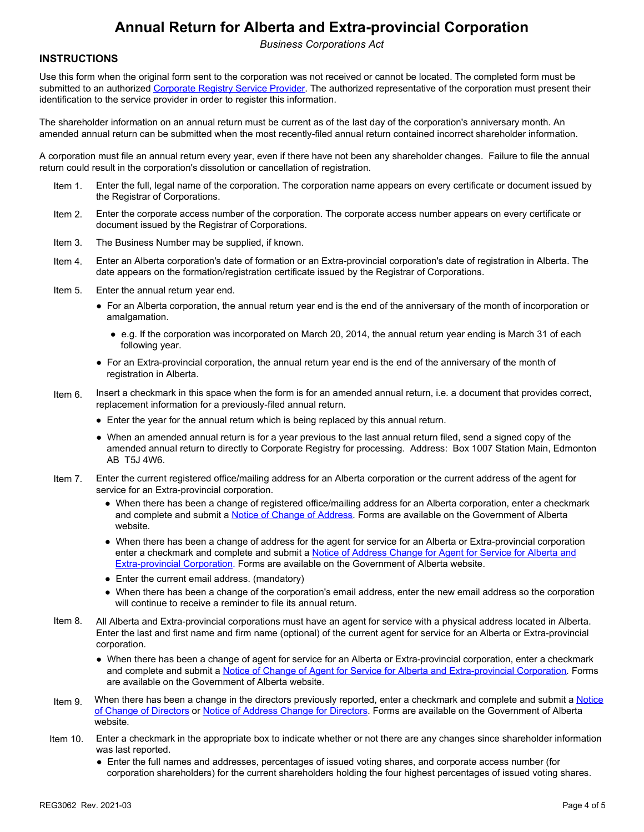# Annual Return for Alberta and Extra-provincial Corporation

Business Corporations Act

## **INSTRUCTIONS**

Use this form when the original form sent to the corporation was not received or cannot be located. The completed form must be submitted to an authorized Corporate Registry Service Provider. The authorized representative of the corporation must present their identification to the service provider in order to register this information. **Annual Return for Alberta and Extra-provincial**<br> *Business Corporations Act*<br>
this form when the original form sent to the corporation was not received or cannot be locate<br>
this form when the original form sent to the cor **INNUMERATE SET THE ANNUMERATE AND EXECT AND ARREST CORPORATION ENTERT THE ANNUAL THE ANNUAL RETURN THE ANNUAL RETURN THE ANNUAL RETURN THE ANNUAL RETURN THE ANNUAL RETURN THE ANNUAL RETURN INTO THE ANNUAL RETURN INTO THE** 

 The shareholder information on an annual return must be current as of the last day of the corporation's anniversary month. An amended annual return can be submitted when the most recently-filed annual return contained incorrect shareholder information.

A corporation must file an annual return every year, even if there have not been any shareholder changes. Failure to file the annual return could result in the corporation's dissolution or cancellation of registration.

- Item 1. Enter the full, legal name of the corporation. The corporation name appears on every certificate or document issued by the Registrar of Corporations.
- Item 2. Enter the corporate access number of the corporation. The corporate access number appears on every certificate or document issued by the Registrar of Corporations.
- 
- Item 4. Enter an Alberta corporation's date of formation or an Extra-provincial corporation's date of registration in Alberta. The date appears on the formation/registration certificate issued by the Registrar of Corporations.
- - amalgamation.
		- e.g. If the corporation was incorporated on March 20, 2014, the annual return year ending is March 31 of each following year.
	- For an Extra-provincial corporation, the annual return year end is the end of the anniversary of the month of registration in Alberta.
- Item 6. Insert a checkmark in this space when the form is for an amended annual return, i.e. a document that provides correct, replacement information for a previously-filed annual return.
	- Enter the year for the annual return which is being replaced by this annual return.
	- When an amended annual return is for a year previous to the last annual return filed, send a signed copy of the amended annual return to directly to Corporate Registry for processing. Address: Box 1007 Station Main, Edmonton AB T5J 4W6.
- Item 7. Enter the current registered office/mailing address for an Alberta corporation or the current address of the agent for service for an Extra-provincial corporation.
	- When there has been a change of registered office/mailing address for an Alberta corporation, enter a checkmark and complete and submit a Notice of Change of Address. Forms are available on the Government of Alberta website.
	- When there has been a change of address for the agent for service for an Alberta or Extra-provincial corporation enter a checkmark and complete and submit a Notice of Address Change for Agent for Service for Alberta and Extra-provincial Corporation. Forms are available on the Government of Alberta website.
	- Enter the current email address. (mandatory)
	- When there has been a change of the corporation's email address, enter the new email address so the corporation will continue to receive a reminder to file its annual return.
- Item 8. All Alberta and Extra-provincial corporations must have an agent for service with a physical address located in Alberta. Enter the last and first name and firm name (optional) of the current agent for service for an Alberta or Extra-provincial corporation.
	- When there has been a change of agent for service for an Alberta or Extra-provincial corporation, enter a checkmark and complete and submit a Notice of Change of Agent for Service for Alberta and Extra-provincial Corporation. Forms are available on the Government of Alberta website.
- When there has been a change of address for the agent for service for an Alberta or Extra-provincial comporation<br>
eris a checkmark and complete and subties and subties of Address Character (Extra-provincial Corporation, Fo Item 9. When there has been a change in the directors previously reported, enter a checkmark and complete and submit a Notice of Change of Directors or Notice of Address Change for Directors. Forms are available on the Government of Alberta website.
	- Item 10. Enter a checkmark in the appropriate box to indicate whether or not there are any changes since shareholder information was last reported.
		- Enter the full names and addresses, percentages of issued voting shares, and corporate access number (for corporation shareholders) for the current shareholders holding the four highest percentages of issued voting shares.